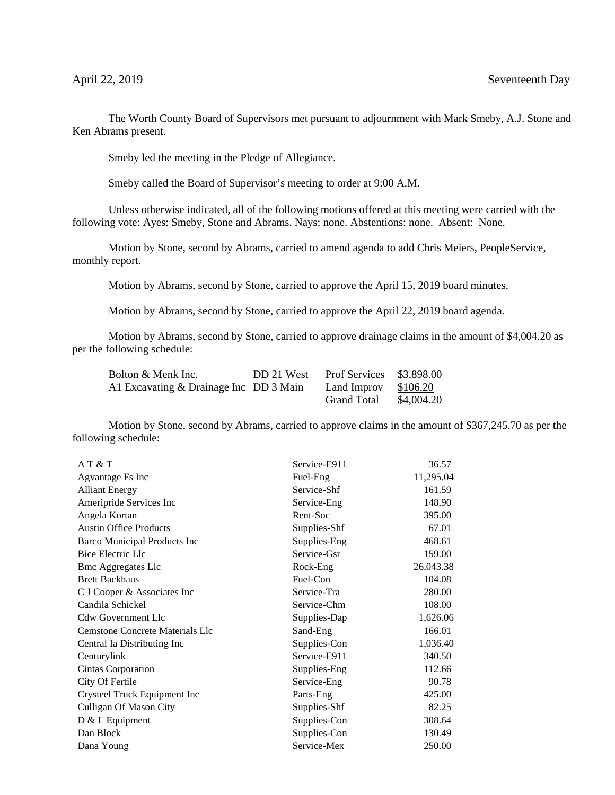The Worth County Board of Supervisors met pursuant to adjournment with Mark Smeby, A.J. Stone and Ken Abrams present.

Smeby led the meeting in the Pledge of Allegiance.

Smeby called the Board of Supervisor's meeting to order at 9:00 A.M.

Unless otherwise indicated, all of the following motions offered at this meeting were carried with the following vote: Ayes: Smeby, Stone and Abrams. Nays: none. Abstentions: none. Absent: None.

Motion by Stone, second by Abrams, carried to amend agenda to add Chris Meiers, PeopleService, monthly report.

Motion by Abrams, second by Stone, carried to approve the April 15, 2019 board minutes.

Motion by Abrams, second by Stone, carried to approve the April 22, 2019 board agenda.

Motion by Abrams, second by Stone, carried to approve drainage claims in the amount of \$4,004.20 as per the following schedule:

| Bolton & Menk Inc.                     | DD 21 West | <b>Prof Services</b> | \$3,898.00 |
|----------------------------------------|------------|----------------------|------------|
| A1 Excavating & Drainage Inc DD 3 Main |            | Land Improv          | \$106.20   |
|                                        |            | <b>Grand Total</b>   | \$4,004.20 |

Motion by Stone, second by Abrams, carried to approve claims in the amount of \$367,245.70 as per the following schedule:

| AT & T                          | Service-E911 | 36.57     |
|---------------------------------|--------------|-----------|
| Agvantage Fs Inc                | Fuel-Eng     | 11,295.04 |
| <b>Alliant Energy</b>           | Service-Shf  | 161.59    |
| Ameripride Services Inc         | Service-Eng  | 148.90    |
| Angela Kortan                   | Rent-Soc     | 395.00    |
| <b>Austin Office Products</b>   | Supplies-Shf | 67.01     |
| Barco Municipal Products Inc    | Supplies-Eng | 468.61    |
| Bice Electric Llc               | Service-Gsr  | 159.00    |
| <b>Bmc Aggregates Llc</b>       | Rock-Eng     | 26,043.38 |
| <b>Brett Backhaus</b>           | Fuel-Con     | 104.08    |
| C J Cooper & Associates Inc     | Service-Tra  | 280.00    |
| Candila Schickel                | Service-Chm  | 108.00    |
| <b>Cdw Government Llc</b>       | Supplies-Dap | 1,626.06  |
| Cemstone Concrete Materials Llc | Sand-Eng     | 166.01    |
| Central Ia Distributing Inc     | Supplies-Con | 1,036.40  |
| Centurylink                     | Service-E911 | 340.50    |
| Cintas Corporation              | Supplies-Eng | 112.66    |
| City Of Fertile                 | Service-Eng  | 90.78     |
| Crysteel Truck Equipment Inc    | Parts-Eng    | 425.00    |
| Culligan Of Mason City          | Supplies-Shf | 82.25     |
| D & L Equipment                 | Supplies-Con | 308.64    |
| Dan Block                       | Supplies-Con | 130.49    |
| Dana Young                      | Service-Mex  | 250.00    |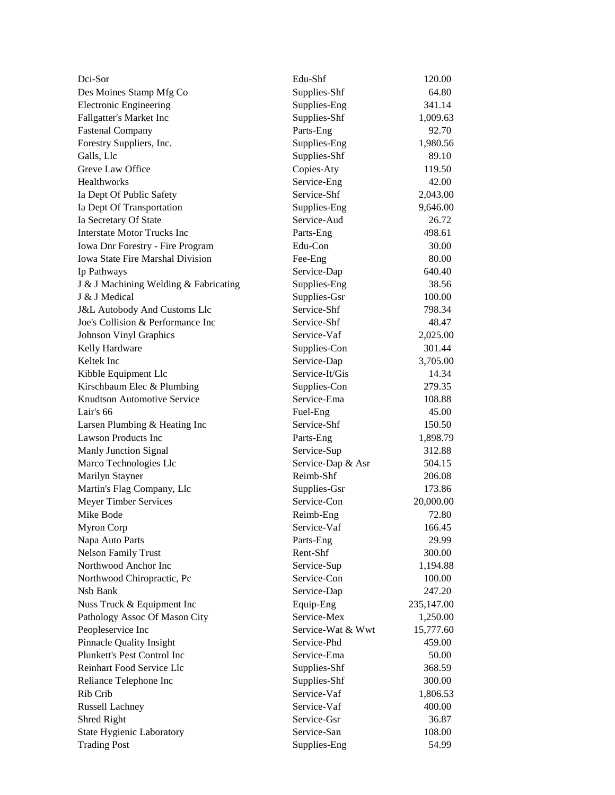| Dci-Sor                                 | Edu-Shf           | 120.00     |
|-----------------------------------------|-------------------|------------|
| Des Moines Stamp Mfg Co                 | Supplies-Shf      | 64.80      |
| <b>Electronic Engineering</b>           | Supplies-Eng      | 341.14     |
| Fallgatter's Market Inc                 | Supplies-Shf      | 1,009.63   |
| <b>Fastenal Company</b>                 | Parts-Eng         | 92.70      |
| Forestry Suppliers, Inc.                | Supplies-Eng      | 1,980.56   |
| Galls, Llc                              | Supplies-Shf      | 89.10      |
| Greve Law Office                        | Copies-Aty        | 119.50     |
| Healthworks                             | Service-Eng       | 42.00      |
| Ia Dept Of Public Safety                | Service-Shf       | 2,043.00   |
| Ia Dept Of Transportation               | Supplies-Eng      | 9,646.00   |
| Ia Secretary Of State                   | Service-Aud       | 26.72      |
| <b>Interstate Motor Trucks Inc</b>      | Parts-Eng         | 498.61     |
| Iowa Dnr Forestry - Fire Program        | Edu-Con           | 30.00      |
| Iowa State Fire Marshal Division        | Fee-Eng           | 80.00      |
| Ip Pathways                             | Service-Dap       | 640.40     |
| J & J Machining Welding & Fabricating   | Supplies-Eng      | 38.56      |
| J & J Medical                           | Supplies-Gsr      | 100.00     |
| <b>J&amp;L Autobody And Customs Llc</b> | Service-Shf       | 798.34     |
| Joe's Collision & Performance Inc       | Service-Shf       | 48.47      |
| Johnson Vinyl Graphics                  | Service-Vaf       | 2,025.00   |
| Kelly Hardware                          | Supplies-Con      | 301.44     |
| Keltek Inc                              | Service-Dap       | 3,705.00   |
| Kibble Equipment Llc                    | Service-It/Gis    | 14.34      |
| Kirschbaum Elec & Plumbing              | Supplies-Con      | 279.35     |
| Knudtson Automotive Service             | Service-Ema       | 108.88     |
| Lair's 66                               | Fuel-Eng          | 45.00      |
| Larsen Plumbing & Heating Inc           | Service-Shf       | 150.50     |
| <b>Lawson Products Inc</b>              | Parts-Eng         | 1,898.79   |
| Manly Junction Signal                   | Service-Sup       | 312.88     |
| Marco Technologies Llc                  | Service-Dap & Asr | 504.15     |
| Marilyn Stayner                         | Reimb-Shf         | 206.08     |
| Martin's Flag Company, Llc              | Supplies-Gsr      | 173.86     |
| Meyer Timber Services                   | Service-Con       | 20,000.00  |
| Mike Bode                               | Reimb-Eng         | 72.80      |
| Myron Corp                              | Service-Vaf       | 166.45     |
| Napa Auto Parts                         | Parts-Eng         | 29.99      |
| <b>Nelson Family Trust</b>              | Rent-Shf          | 300.00     |
| Northwood Anchor Inc                    | Service-Sup       | 1,194.88   |
| Northwood Chiropractic, Pc              | Service-Con       | $100.00\,$ |
| Nsb Bank                                | Service-Dap       | 247.20     |
| Nuss Truck & Equipment Inc              | Equip-Eng         | 235,147.00 |
| Pathology Assoc Of Mason City           | Service-Mex       | 1,250.00   |
| Peopleservice Inc                       | Service-Wat & Wwt | 15,777.60  |
| <b>Pinnacle Quality Insight</b>         | Service-Phd       | 459.00     |
| Plunkett's Pest Control Inc             | Service-Ema       | 50.00      |
| Reinhart Food Service Llc               | Supplies-Shf      | 368.59     |
| Reliance Telephone Inc                  | Supplies-Shf      | 300.00     |
| Rib Crib                                | Service-Vaf       | 1,806.53   |
|                                         | Service-Vaf       | 400.00     |
| Russell Lachney                         | Service-Gsr       | 36.87      |
| Shred Right                             | Service-San       | 108.00     |
| State Hygienic Laboratory               |                   |            |
| <b>Trading Post</b>                     | Supplies-Eng      | 54.99      |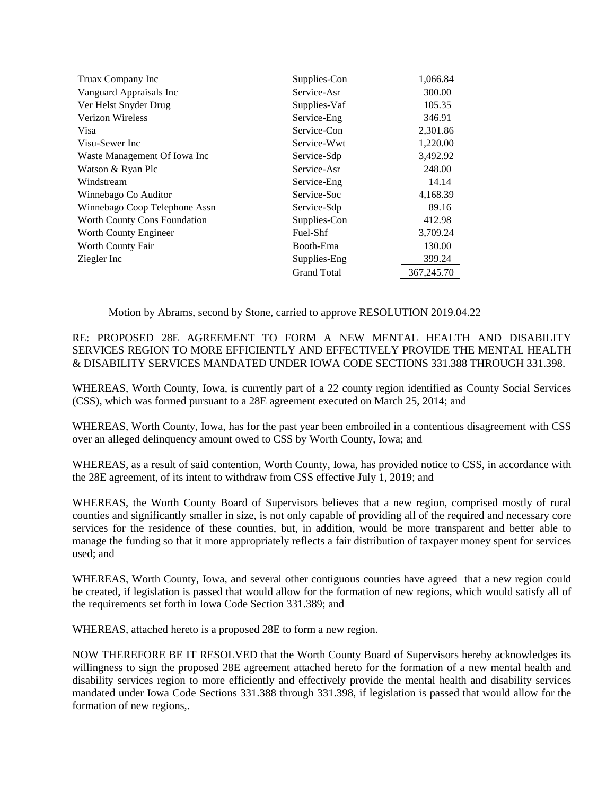| Truax Company Inc             | Supplies-Con       | 1,066.84   |
|-------------------------------|--------------------|------------|
| Vanguard Appraisals Inc       | Service-Asr        | 300.00     |
| Ver Helst Snyder Drug         | Supplies-Vaf       | 105.35     |
| <b>Verizon Wireless</b>       | Service-Eng        | 346.91     |
| Visa                          | Service-Con        | 2,301.86   |
| Visu-Sewer Inc                | Service-Wwt        | 1,220.00   |
| Waste Management Of Iowa Inc  | Service-Sdp        | 3,492.92   |
| Watson & Ryan Plc             | Service-Asr        | 248.00     |
| Windstream                    | Service-Eng        | 14.14      |
| Winnebago Co Auditor          | Service-Soc        | 4,168.39   |
| Winnebago Coop Telephone Assn | Service-Sdp        | 89.16      |
| Worth County Cons Foundation  | Supplies-Con       | 412.98     |
| Worth County Engineer         | Fuel-Shf           | 3,709.24   |
| Worth County Fair             | Booth-Ema          | 130.00     |
| Ziegler Inc                   | Supplies-Eng       | 399.24     |
|                               | <b>Grand Total</b> | 367,245.70 |

Motion by Abrams, second by Stone, carried to approve RESOLUTION 2019.04.22

RE: PROPOSED 28E AGREEMENT TO FORM A NEW MENTAL HEALTH AND DISABILITY SERVICES REGION TO MORE EFFICIENTLY AND EFFECTIVELY PROVIDE THE MENTAL HEALTH & DISABILITY SERVICES MANDATED UNDER IOWA CODE SECTIONS 331.388 THROUGH 331.398.

WHEREAS, Worth County, Iowa, is currently part of a 22 county region identified as County Social Services (CSS), which was formed pursuant to a 28E agreement executed on March 25, 2014; and

WHEREAS, Worth County, Iowa, has for the past year been embroiled in a contentious disagreement with CSS over an alleged delinquency amount owed to CSS by Worth County, Iowa; and

WHEREAS, as a result of said contention, Worth County, Iowa, has provided notice to CSS, in accordance with the 28E agreement, of its intent to withdraw from CSS effective July 1, 2019; and

WHEREAS, the Worth County Board of Supervisors believes that a new region, comprised mostly of rural counties and significantly smaller in size, is not only capable of providing all of the required and necessary core services for the residence of these counties, but, in addition, would be more transparent and better able to manage the funding so that it more appropriately reflects a fair distribution of taxpayer money spent for services used; and

WHEREAS, Worth County, Iowa, and several other contiguous counties have agreed that a new region could be created, if legislation is passed that would allow for the formation of new regions, which would satisfy all of the requirements set forth in Iowa Code Section 331.389; and

WHEREAS, attached hereto is a proposed 28E to form a new region.

NOW THEREFORE BE IT RESOLVED that the Worth County Board of Supervisors hereby acknowledges its willingness to sign the proposed 28E agreement attached hereto for the formation of a new mental health and disability services region to more efficiently and effectively provide the mental health and disability services mandated under Iowa Code Sections 331.388 through 331.398, if legislation is passed that would allow for the formation of new regions,.